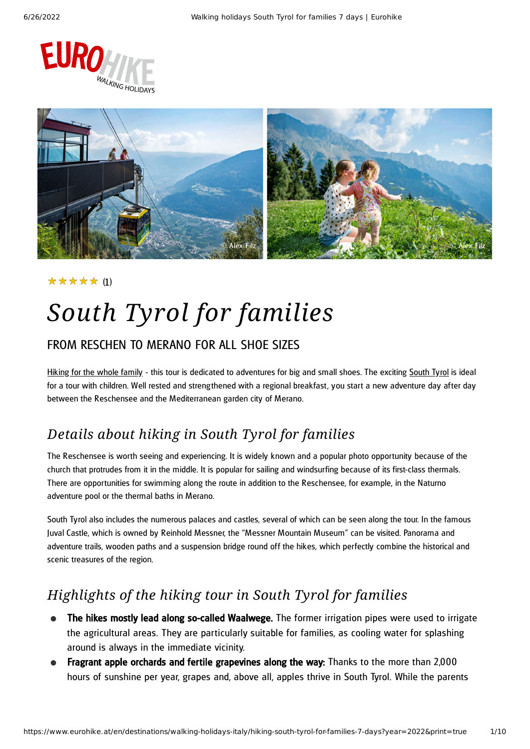



### (1) ★★★★★

# *South Tyrol for families*

### FROM RESCHEN TO MERANO FOR ALL SHOE SIZES

[Hiking](https://www.eurohike.at/en/walking-holidays/types-of-travel/hiking-with-kids) for the whole family - this tour is dedicated to adventures for big and small shoes. The exciting [South](https://www.eurohike.at/en/destinations/walking-holidays-italy/south-tyrol) Tyrol is ideal for a tour with children. Well rested and streng thened with a regional breakfast, you start a new adventure day after day between the Reschensee and the Mediterranean garden city of Merano.

### *Details about hiking in South Tyrol for families*

The Reschensee is worth seeing and experiencing. It is widely known and a popular photo opportunity because of the church that protrudes from it in the middle. It is popular for sailing and windsurfing because of its first-class thermals. There are opportunities for swimming along the route in addition to the Reschensee, for example, in the Naturno adventure pool or the thermal baths in Merano.

South Tyrol also includes the numerous palaces and castles, several of which can be seen along the tour. In the famous Juval Castle, which is owned by Reinhold Messner, the "Messner Mountain Museum" can be visited. Panorama and adventure trails, wooden paths and a suspension bridge round off the hikes, which perfectly combine the historical and scenic treasures of the region.

### *Highlights of the hiking tour in South Tyrol for families*

- The hikes mostly lead along so-called Waalwege. The former irrigation pipes were used to irrigate the agricultural areas. They are particularly suitable for families, as cooling water for splashing around is always in the immediate vicinity.
- Fragrant apple orchards and fertile grapevines along the way: Thanks to the more than 2,000 hours of sunshine per year, grapes and, above all, apples thrive in South Tyrol. While the parents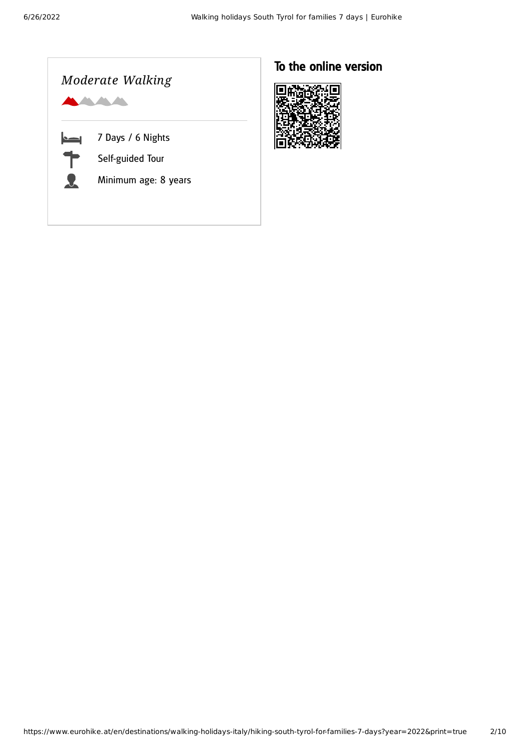

### To the online version

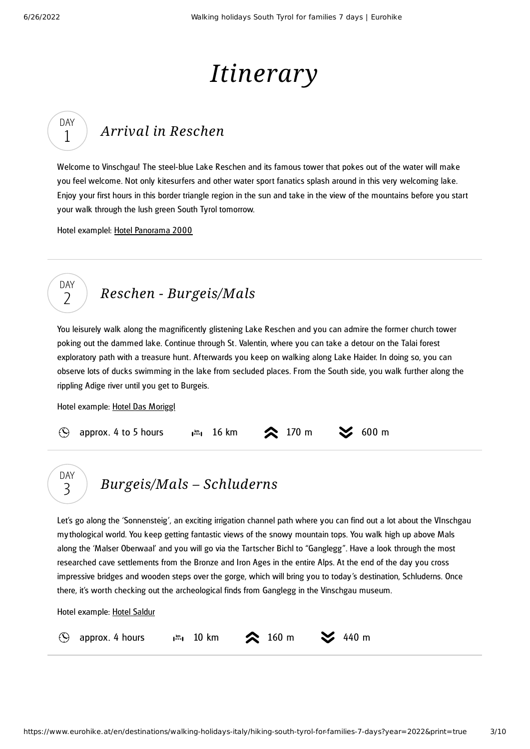DAY 1

DAY  $\overline{\phantom{a}}$ 

DAY 3

# *Itinerary*

## *Arrival in [Reschen](#page-2-0)*

<span id="page-2-0"></span>Welcome to Vinschgau! The steel-blue Lake Reschen and its famous tower that pokes out of the water will make you feel welcome. Not only kitesurfers and other water sport fanatics splash around in this very welcoming lake. Enjoy your first hours in this border triangle region in the sun and take in the view of the mountains before you start your walk through the lush green South Tyrol tomorrow.

Hotel examplel: Hotel [Panorama](https://www.hotelpanorama2000.com/) 2000

## *Reschen - [Burgeis/Mals](#page-2-1)*

<span id="page-2-1"></span>You leisurely walk along the magnificently glistening Lake Reschen and you can admire the former church tower poking out the dammed lake. Continue through St. Valentin, where you can take a detour on the Talai forest exploratory path with a treasure hunt. Afterwards you keep on walking along Lake Haider. In doing so, you can observe lots of ducks swimming in the lake from secluded places. From the South side, you walk further along the rippling Adige river until you get to Burgeis.

Hotel example: Hotel Das [Moriggl](https://www.das-moriggl.com/)

|  | $\odot$ approx. 4 to 5 hours |  | $\frac{1}{2}$ 16 km $\approx$ 170 m $\approx$ 600 m |  |
|--|------------------------------|--|-----------------------------------------------------|--|
|--|------------------------------|--|-----------------------------------------------------|--|

## *[Burgeis/Mals](#page-2-2) – Schluderns*

<span id="page-2-2"></span>Let's go along the 'Sonnensteig', an exciting irrigation channel path where you can find out a lot about the VInschgau mythological world. You keep getting fantastic views of the snowy mountain tops. You walk high up above Mals along the 'Malser Oberwaal' and you will go via the Tartscher Bichl to "Ganglegg ". Have a look through the most researched cave settlements from the Bronze and Iron Ages in the entire Alps. At the end of the day you cross impressive bridges and wooden steps over the gorge, which will bring you to today's destination, Schluderns. Once there, it's worth checking out the archeological finds from Ganglegg in the Vinschgau museum.

Hotel example: Hotel [Saldur](https://www.hotel-saldur.com/en/the-saldur/)

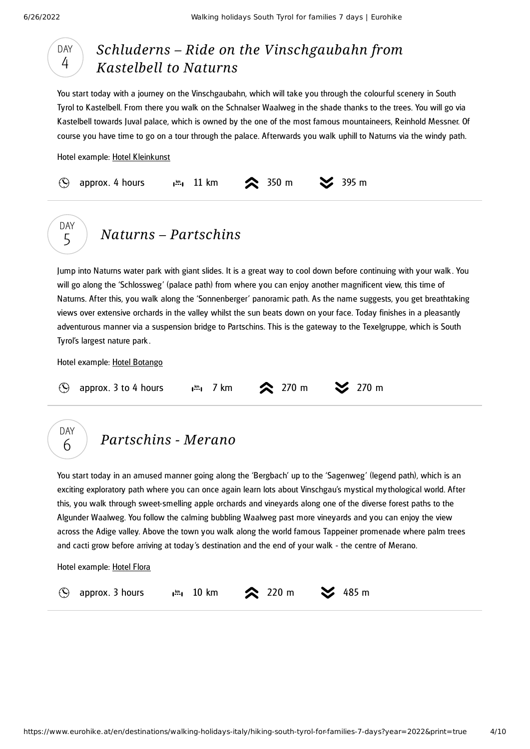DAY 4

**DAY** 5

### *Schluderns – Ride on the [Vinschgaubahn](#page-3-0) from Kastelbell to Naturns*

<span id="page-3-0"></span>You start today with a journey on the Vinschgaubahn, which will take you through the colourful scenery in South Tyrol to Kastelbell. From there you walk on the Schnalser Waalweg in the shade thanks to the trees. You will go via Kastelbell towards Juval palace, which is owned by the one of the most famous mountaineers, Reinhold Messner. Of course you have time to go on a tour through the palace. Afterwards you walk uphill to Naturns via the windy path.

Hotel example: Hotel [Kleinkunst](https://www.kleinkunsthotel.com/)





<span id="page-3-1"></span>Jump into Naturns water park with giant slides. It is a great way to cool down before continuing with your walk . You will go along the 'Schlossweg' (palace path) from where you can enjoy another magnificent view, this time of Naturns. After this, you walk along the 'Sonnenberger' panoramic path. As the name suggests, you get breathtaking views over extensive orchards in the valley whilst the sun beats down on your face. Today finishes in a pleasantly adventurous manner via a suspension bridge to Partschins. This is the gateway to the Texelgruppe, which is South Tyrol's largest nature park .

Hotel example: Hotel [Botango](https://www.botango.it/)

|  | $\circledS$ approx. 3 to 4 hours |  |  | $\frac{1}{2}$ , 7 km $\otimes$ 270 m $\otimes$ 270 m |  |
|--|----------------------------------|--|--|------------------------------------------------------|--|
|--|----------------------------------|--|--|------------------------------------------------------|--|

## *[Partschins](#page-3-2) - Merano*

<span id="page-3-2"></span>You start today in an amused manner going along the 'Bergbach' up to the 'Sagenweg' (legend path), which is an exciting exploratory path where you can once again learn lots about Vinschgau's mystical mythological world. After this, you walk through sweet-smelling apple orchards and vineyards along one of the diverse forest paths to the Algunder Waalweg. You follow the calming bubbling Waalweg past more vineyards and you can enjoy the view across the Adige valley. Above the town you walk along the world famous Tappeiner promenade where palm trees and cacti grow before arriving at today's destination and the end of your walk - the centre of Merano.

Hotel example: [Hotel](https://www.merano-flora.it/) Flora

 $\mathcal{O}$ 

DAY 6

approx. 3 hours  $\lim_{n \to \infty} 10 \text{ km}$  220 m  $\leq 485 \text{ m}$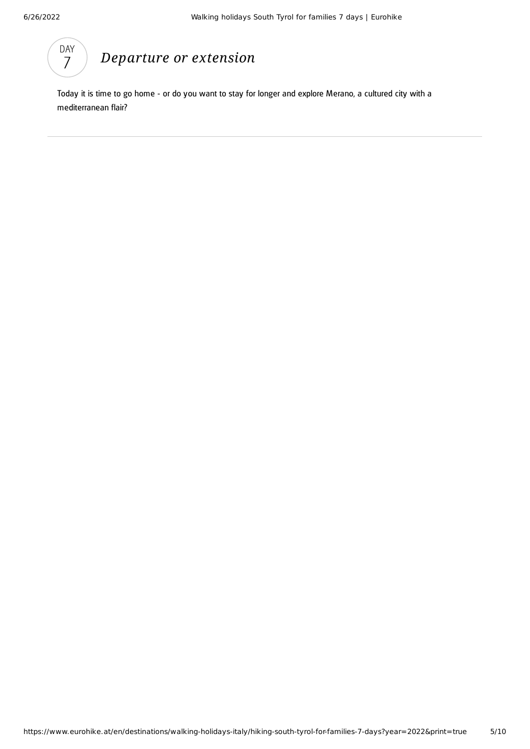

## *[Departure](#page-4-0) or extension*

<span id="page-4-0"></span>Today it is time to go home - or do you want to stay for longer and explore Merano, a cultured city with a mediterranean flair?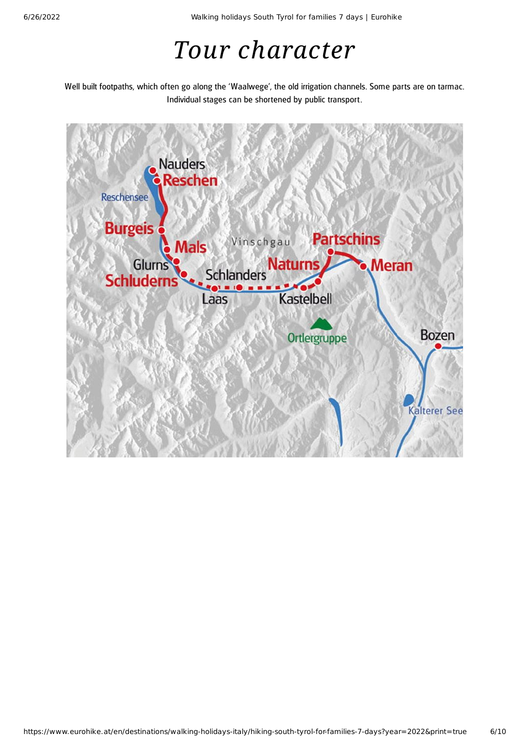## *Tour character*

Well built footpaths, which often go along the 'Waalwege', the old irrigation channels. Some parts are on tarmac. Individual stages can be shortened by public transport.

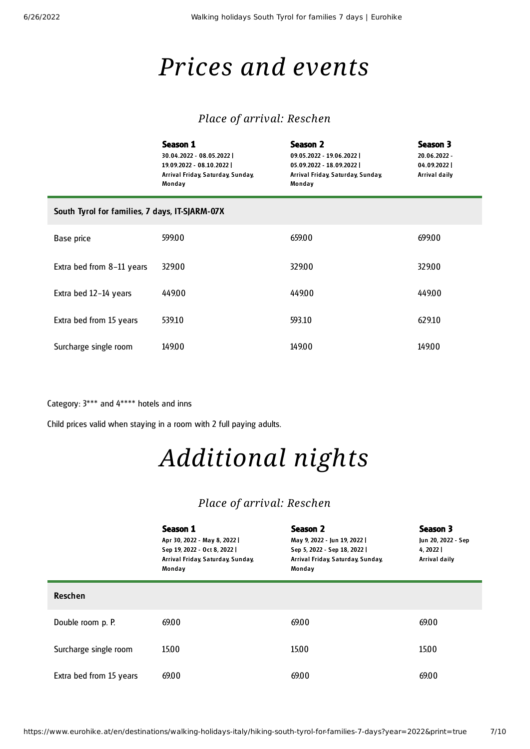## *Prices and events*

### *Place of arrival: Reschen*

|                                                | Season 1<br>30.04.2022 - 08.05.2022  <br>19.09.2022 - 08.10.2022  <br>Arrival Friday, Saturday, Sunday,<br>Monday | Season 2<br>09.05.2022 - 19.06.2022  <br>05.09.2022 - 18.09.2022  <br>Arrival Friday, Saturday, Sunday,<br>Monday | Season 3<br>20.06.2022 -<br>04.09.2022<br>Arrival daily |
|------------------------------------------------|-------------------------------------------------------------------------------------------------------------------|-------------------------------------------------------------------------------------------------------------------|---------------------------------------------------------|
| South Tyrol for families, 7 days, IT-SJARM-07X |                                                                                                                   |                                                                                                                   |                                                         |
| Base price                                     | 599.00                                                                                                            | 659.00                                                                                                            | 699.00                                                  |
| Extra bed from 8-11 years                      | 329.00                                                                                                            | 329.00                                                                                                            | 329.00                                                  |
| Extra bed 12-14 years                          | 449.00                                                                                                            | 449.00                                                                                                            | 449.00                                                  |
| Extra bed from 15 years                        | 539.10                                                                                                            | 593.10                                                                                                            | 629.10                                                  |
| Surcharge single room                          | 149.00                                                                                                            | 149.00                                                                                                            | 149.00                                                  |

Category: 3\*\*\* and 4\*\*\*\* hotels and inns

Child prices valid when staying in a room with 2 full paying adults.

# *Additional nights*

### *Place of arrival: Reschen*

|                         | Season 1<br>Apr 30, 2022 - May 8, 2022  <br>Sep 19, 2022 - Oct 8, 2022  <br>Arrival Friday, Saturday, Sunday,<br>Monday | Season 2<br>May 9, 2022 - Jun 19, 2022  <br>Sep 5, 2022 - Sep 18, 2022  <br>Arrival Friday, Saturday, Sunday,<br>Monday | Season 3<br>Jun 20, 2022 - Sep<br>4, 2022  <br>Arrival daily |
|-------------------------|-------------------------------------------------------------------------------------------------------------------------|-------------------------------------------------------------------------------------------------------------------------|--------------------------------------------------------------|
| <b>Reschen</b>          |                                                                                                                         |                                                                                                                         |                                                              |
| Double room p. P.       | 69.00                                                                                                                   | 69.00                                                                                                                   | 69.00                                                        |
| Surcharge single room   | 1500                                                                                                                    | 15.00                                                                                                                   | 1500                                                         |
| Extra bed from 15 years | 69.00                                                                                                                   | 69.00                                                                                                                   | 69.00                                                        |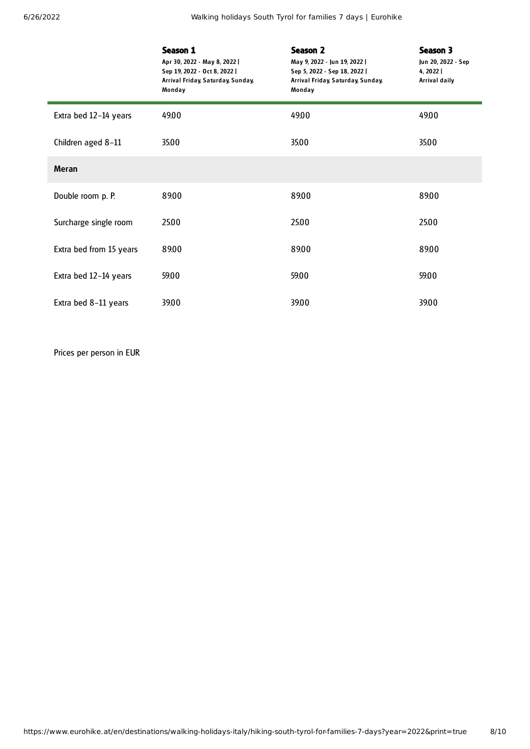6/26/2022 Walking holidays South Tyrol for families 7 days | Eurohike

|                         | Season 1<br>Apr 30, 2022 - May 8, 2022  <br>Sep 19, 2022 - Oct 8, 2022  <br>Arrival Friday, Saturday, Sunday,<br>Monday | Season 2<br>May 9, 2022 - Jun 19, 2022  <br>Sep 5, 2022 - Sep 18, 2022  <br>Arrival Friday, Saturday, Sunday,<br>Monday | Season 3<br>Jun 20, 2022 - Sep<br>4, 2022  <br>Arrival daily |
|-------------------------|-------------------------------------------------------------------------------------------------------------------------|-------------------------------------------------------------------------------------------------------------------------|--------------------------------------------------------------|
| Extra bed 12-14 years   | 49.00                                                                                                                   | 49.00                                                                                                                   | 49.00                                                        |
| Children aged 8-11      | 35.00                                                                                                                   | 35.00                                                                                                                   | 35.00                                                        |
| <b>Meran</b>            |                                                                                                                         |                                                                                                                         |                                                              |
| Double room p. P.       | 89.00                                                                                                                   | 89.00                                                                                                                   | 89.00                                                        |
| Surcharge single room   | 25.00                                                                                                                   | 25.00                                                                                                                   | 25.00                                                        |
| Extra bed from 15 years | 89.00                                                                                                                   | 89.00                                                                                                                   | 89.00                                                        |
| Extra bed 12-14 years   | 59.00                                                                                                                   | 59.00                                                                                                                   | 59.00                                                        |
| Extra bed 8-11 years    | 39.00                                                                                                                   | 39.00                                                                                                                   | 39.00                                                        |

Prices per person in EUR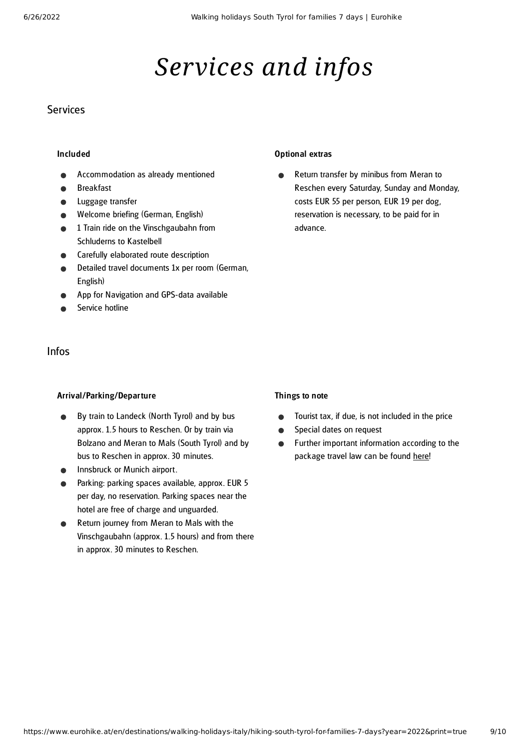# *Services and infos*

### **Services**

#### Included

- Accommodation as already mentioned
- Breakfast
- Luggage transfer
- Welcome briefing (German, English)
- 1 Train ride on the Vinschgaubahn from Schluderns to Kastelbell
- Carefully elaborated route description
- Detailed travel documents 1x per room (German, English)
- App for Navigation and GPS-data available
- Service hotline

### Infos

#### Arrival/Parking/Departure

- By train to Landeck (North Tyrol) and by bus approx. 1.5 hours to Reschen. Or by train via Bolzano and Meran to Mals (South Tyrol) and by bus to Reschen in approx. 30 minutes.
- Innsbruck or Munich airport.
- Parking: parking spaces available, approx. EUR 5 per day, no reservation. Parking spaces near the hotel are free of charge and unguarded.
- Return journey from Meran to Mals with the Vinschgaubahn (approx. 1.5 hours) and from there in approx. 30 minutes to Reschen.

#### Optional extras

Return transfer by minibus from Meran to  $\bullet$ Reschen every Saturday, Sunday and Monday, costs EUR 55 per person, EUR 19 per dog, reservation is necessary, to be paid for in advance.

#### Things to note

- Tourist tax, if due, is not included in the price  $\bullet$
- Special dates on request  $\bullet$
- Further important information according to the  $\bullet$ package travel law can be found [here](https://www.eurohike.at/en/travel-information/before-the-tour/pci)!